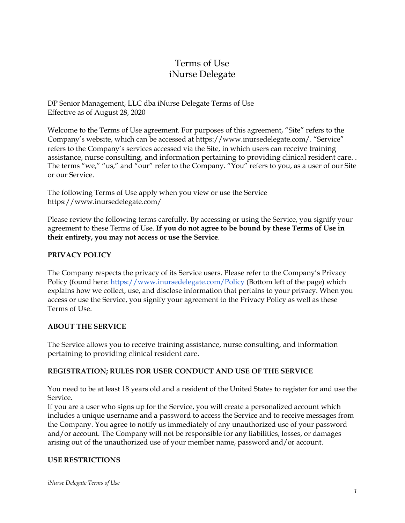# Terms of Use iNurse Delegate

DP Senior Management, LLC dba iNurse Delegate Terms of Use Effective as of August 28, 2020

Welcome to the Terms of Use agreement. For purposes of this agreement, "Site" refers to the Company's website, which can be accessed at https://www.inursedelegate.com/. "Service" refers to the Company's services accessed via the Site, in which users can receive training assistance, nurse consulting, and information pertaining to providing clinical resident care. . The terms "we," "us," and "our" refer to the Company. "You" refers to you, as a user of our Site or our Service.

The following Terms of Use apply when you view or use the Service https://www.inursedelegate.com/

Please review the following terms carefully. By accessing or using the Service, you signify your agreement to these Terms of Use. **If you do not agree to be bound by these Terms of Use in their entirety, you may not access or use the Service**.

## **PRIVACY POLICY**

The Company respects the privacy of its Service users. Please refer to the Company's Privacy Policy (found here: <https://www.inursedelegate.com/Policy> (Bottom left of the page) which explains how we collect, use, and disclose information that pertains to your privacy. When you access or use the Service, you signify your agreement to the Privacy Policy as well as these Terms of Use.

### **ABOUT THE SERVICE**

The Service allows you to receive training assistance, nurse consulting, and information pertaining to providing clinical resident care.

### **REGISTRATION; RULES FOR USER CONDUCT AND USE OF THE SERVICE**

You need to be at least 18 years old and a resident of the United States to register for and use the Service.

If you are a user who signs up for the Service, you will create a personalized account which includes a unique username and a password to access the Service and to receive messages from the Company. You agree to notify us immediately of any unauthorized use of your password and/or account. The Company will not be responsible for any liabilities, losses, or damages arising out of the unauthorized use of your member name, password and/or account.

### **USE RESTRICTIONS**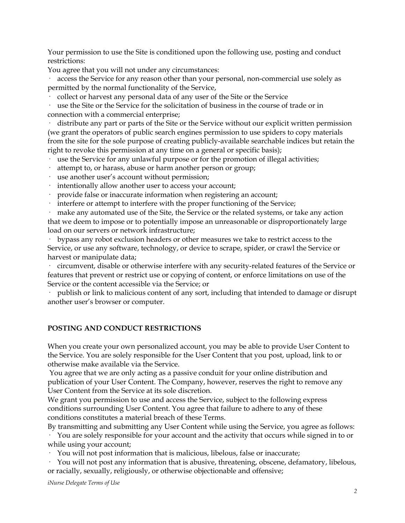Your permission to use the Site is conditioned upon the following use, posting and conduct restrictions:

You agree that you will not under any circumstances:

access the Service for any reason other than your personal, non-commercial use solely as permitted by the normal functionality of the Service,

· collect or harvest any personal data of any user of the Site or the Service

· use the Site or the Service for the solicitation of business in the course of trade or in connection with a commercial enterprise;

distribute any part or parts of the Site or the Service without our explicit written permission (we grant the operators of public search engines permission to use spiders to copy materials from the site for the sole purpose of creating publicly-available searchable indices but retain the right to revoke this permission at any time on a general or specific basis);

· use the Service for any unlawful purpose or for the promotion of illegal activities;

- attempt to, or harass, abuse or harm another person or group;
- · use another user's account without permission;
- · intentionally allow another user to access your account;
- provide false or inaccurate information when registering an account;
- · interfere or attempt to interfere with the proper functioning of the Service;

make any automated use of the Site, the Service or the related systems, or take any action that we deem to impose or to potentially impose an unreasonable or disproportionately large load on our servers or network infrastructure;

bypass any robot exclusion headers or other measures we take to restrict access to the Service, or use any software, technology, or device to scrape, spider, or crawl the Service or harvest or manipulate data;

· circumvent, disable or otherwise interfere with any security-related features of the Service or features that prevent or restrict use or copying of content, or enforce limitations on use of the Service or the content accessible via the Service; or

· publish or link to malicious content of any sort, including that intended to damage or disrupt another user's browser or computer.

### **POSTING AND CONDUCT RESTRICTIONS**

When you create your own personalized account, you may be able to provide User Content to the Service. You are solely responsible for the User Content that you post, upload, link to or otherwise make available via the Service.

You agree that we are only acting as a passive conduit for your online distribution and publication of your User Content. The Company, however, reserves the right to remove any User Content from the Service at its sole discretion.

We grant you permission to use and access the Service, subject to the following express conditions surrounding User Content. You agree that failure to adhere to any of these conditions constitutes a material breach of these Terms.

By transmitting and submitting any User Content while using the Service, you agree as follows: · You are solely responsible for your account and the activity that occurs while signed in to or while using your account;

· You will not post information that is malicious, libelous, false or inaccurate;

· You will not post any information that is abusive, threatening, obscene, defamatory, libelous, or racially, sexually, religiously, or otherwise objectionable and offensive;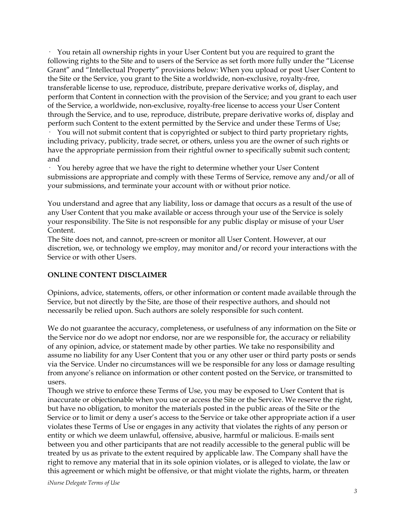· You retain all ownership rights in your User Content but you are required to grant the following rights to the Site and to users of the Service as set forth more fully under the "License Grant" and "Intellectual Property" provisions below: When you upload or post User Content to the Site or the Service, you grant to the Site a worldwide, non-exclusive, royalty-free, transferable license to use, reproduce, distribute, prepare derivative works of, display, and perform that Content in connection with the provision of the Service; and you grant to each user of the Service, a worldwide, non-exclusive, royalty-free license to access your User Content through the Service, and to use, reproduce, distribute, prepare derivative works of, display and perform such Content to the extent permitted by the Service and under these Terms of Use;

· You will not submit content that is copyrighted or subject to third party proprietary rights, including privacy, publicity, trade secret, or others, unless you are the owner of such rights or have the appropriate permission from their rightful owner to specifically submit such content; and

· You hereby agree that we have the right to determine whether your User Content submissions are appropriate and comply with these Terms of Service, remove any and/or all of your submissions, and terminate your account with or without prior notice.

You understand and agree that any liability, loss or damage that occurs as a result of the use of any User Content that you make available or access through your use of the Service is solely your responsibility. The Site is not responsible for any public display or misuse of your User Content.

The Site does not, and cannot, pre-screen or monitor all User Content. However, at our discretion, we, or technology we employ, may monitor and/or record your interactions with the Service or with other Users.

#### **ONLINE CONTENT DISCLAIMER**

Opinions, advice, statements, offers, or other information or content made available through the Service, but not directly by the Site, are those of their respective authors, and should not necessarily be relied upon. Such authors are solely responsible for such content.

We do not guarantee the accuracy, completeness, or usefulness of any information on the Site or the Service nor do we adopt nor endorse, nor are we responsible for, the accuracy or reliability of any opinion, advice, or statement made by other parties. We take no responsibility and assume no liability for any User Content that you or any other user or third party posts or sends via the Service. Under no circumstances will we be responsible for any loss or damage resulting from anyone's reliance on information or other content posted on the Service, or transmitted to users.

Though we strive to enforce these Terms of Use, you may be exposed to User Content that is inaccurate or objectionable when you use or access the Site or the Service. We reserve the right, but have no obligation, to monitor the materials posted in the public areas of the Site or the Service or to limit or deny a user's access to the Service or take other appropriate action if a user violates these Terms of Use or engages in any activity that violates the rights of any person or entity or which we deem unlawful, offensive, abusive, harmful or malicious. E-mails sent between you and other participants that are not readily accessible to the general public will be treated by us as private to the extent required by applicable law. The Company shall have the right to remove any material that in its sole opinion violates, or is alleged to violate, the law or this agreement or which might be offensive, or that might violate the rights, harm, or threaten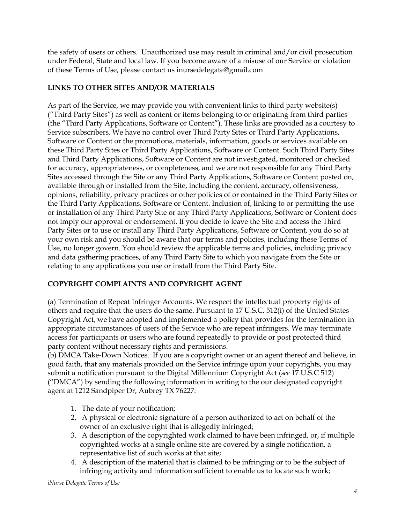the safety of users or others. Unauthorized use may result in criminal and/or civil prosecution under Federal, State and local law. If you become aware of a misuse of our Service or violation of these Terms of Use, please contact us inursedelegate@gmail.com

# **LINKS TO OTHER SITES AND/OR MATERIALS**

As part of the Service, we may provide you with convenient links to third party website(s) ("Third Party Sites") as well as content or items belonging to or originating from third parties (the "Third Party Applications, Software or Content"). These links are provided as a courtesy to Service subscribers. We have no control over Third Party Sites or Third Party Applications, Software or Content or the promotions, materials, information, goods or services available on these Third Party Sites or Third Party Applications, Software or Content. Such Third Party Sites and Third Party Applications, Software or Content are not investigated, monitored or checked for accuracy, appropriateness, or completeness, and we are not responsible for any Third Party Sites accessed through the Site or any Third Party Applications, Software or Content posted on, available through or installed from the Site, including the content, accuracy, offensiveness, opinions, reliability, privacy practices or other policies of or contained in the Third Party Sites or the Third Party Applications, Software or Content. Inclusion of, linking to or permitting the use or installation of any Third Party Site or any Third Party Applications, Software or Content does not imply our approval or endorsement. If you decide to leave the Site and access the Third Party Sites or to use or install any Third Party Applications, Software or Content, you do so at your own risk and you should be aware that our terms and policies, including these Terms of Use, no longer govern. You should review the applicable terms and policies, including privacy and data gathering practices, of any Third Party Site to which you navigate from the Site or relating to any applications you use or install from the Third Party Site.

## **COPYRIGHT COMPLAINTS AND COPYRIGHT AGENT**

(a) Termination of Repeat Infringer Accounts. We respect the intellectual property rights of others and require that the users do the same. Pursuant to 17 U.S.C. 512(i) of the United States Copyright Act, we have adopted and implemented a policy that provides for the termination in appropriate circumstances of users of the Service who are repeat infringers. We may terminate access for participants or users who are found repeatedly to provide or post protected third party content without necessary rights and permissions.

(b) DMCA Take-Down Notices. If you are a copyright owner or an agent thereof and believe, in good faith, that any materials provided on the Service infringe upon your copyrights, you may submit a notification pursuant to the Digital Millennium Copyright Act (*see* 17 U.S.C 512) ("DMCA") by sending the following information in writing to the our designated copyright agent at 1212 Sandpiper Dr, Aubrey TX 76227:

- 1. The date of your notification;
- 2. A physical or electronic signature of a person authorized to act on behalf of the owner of an exclusive right that is allegedly infringed;
- 3. A description of the copyrighted work claimed to have been infringed, or, if multiple copyrighted works at a single online site are covered by a single notification, a representative list of such works at that site;
- 4. A description of the material that is claimed to be infringing or to be the subject of infringing activity and information sufficient to enable us to locate such work;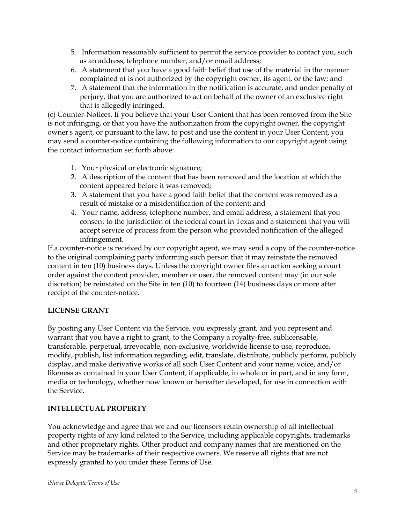- 5. Information reasonably sufficient to permit the service provider to contact you, such as an address, telephone number, and/or email address;
- 6. A statement that you have a good faith belief that use of the material in the manner complained of is not authorized by the copyright owner, its agent, or the law; and
- 7. A statement that the information in the notification is accurate, and under penalty of perjury, that you are authorized to act on behalf of the owner of an exclusive right that is allegedly infringed.

(c) Counter-Notices. If you believe that your User Content that has been removed from the Site is not infringing, or that you have the authorization from the copyright owner, the copyright owner's agent, or pursuant to the law, to post and use the content in your User Content, you may send a counter-notice containing the following information to our copyright agent using the contact information set forth above:

- 1. Your physical or electronic signature;
- 2. A description of the content that has been removed and the location at which the content appeared before it was removed;
- 3. A statement that you have a good faith belief that the content was removed as a result of mistake or a misidentification of the content; and
- 4. Your name, address, telephone number, and email address, a statement that you consent to the jurisdiction of the federal court in Texas and a statement that you will accept service of process from the person who provided notification of the alleged infringement.

If a counter-notice is received by our copyright agent, we may send a copy of the counter-notice to the original complaining party informing such person that it may reinstate the removed content in ten (10) business days. Unless the copyright owner files an action seeking a court order against the content provider, member or user, the removed content may (in our sole discretion) be reinstated on the Site in ten (10) to fourteen (14) business days or more after receipt of the counter-notice.

## **LICENSE GRANT**

By posting any User Content via the Service, you expressly grant, and you represent and warrant that you have a right to grant, to the Company a royalty-free, sublicensable, transferable, perpetual, irrevocable, non-exclusive, worldwide license to use, reproduce, modify, publish, list information regarding, edit, translate, distribute, publicly perform, publicly display, and make derivative works of all such User Content and your name, voice, and/or likeness as contained in your User Content, if applicable, in whole or in part, and in any form, media or technology, whether now known or hereafter developed, for use in connection with the Service.

## **INTELLECTUAL PROPERTY**

You acknowledge and agree that we and our licensors retain ownership of all intellectual property rights of any kind related to the Service, including applicable copyrights, trademarks and other proprietary rights. Other product and company names that are mentioned on the Service may be trademarks of their respective owners. We reserve all rights that are not expressly granted to you under these Terms of Use.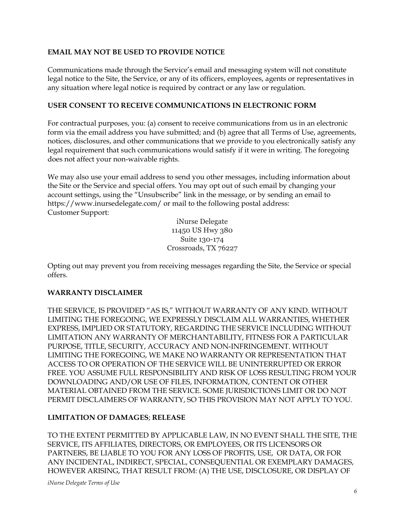### **EMAIL MAY NOT BE USED TO PROVIDE NOTICE**

Communications made through the Service's email and messaging system will not constitute legal notice to the Site, the Service, or any of its officers, employees, agents or representatives in any situation where legal notice is required by contract or any law or regulation.

### **USER CONSENT TO RECEIVE COMMUNICATIONS IN ELECTRONIC FORM**

For contractual purposes, you: (a) consent to receive communications from us in an electronic form via the email address you have submitted; and (b) agree that all Terms of Use, agreements, notices, disclosures, and other communications that we provide to you electronically satisfy any legal requirement that such communications would satisfy if it were in writing. The foregoing does not affect your non-waivable rights.

We may also use your email address to send you other messages, including information about the Site or the Service and special offers. You may opt out of such email by changing your account settings, using the "Unsubscribe" link in the message, or by sending an email to https://www.inursedelegate.com/ or mail to the following postal address: Customer Support:

> iNurse Delegate 11450 US Hwy 380 Suite 130-174 Crossroads, TX 76227

Opting out may prevent you from receiving messages regarding the Site, the Service or special offers.

### **WARRANTY DISCLAIMER**

THE SERVICE, IS PROVIDED "AS IS," WITHOUT WARRANTY OF ANY KIND. WITHOUT LIMITING THE FOREGOING, WE EXPRESSLY DISCLAIM ALL WARRANTIES, WHETHER EXPRESS, IMPLIED OR STATUTORY, REGARDING THE SERVICE INCLUDING WITHOUT LIMITATION ANY WARRANTY OF MERCHANTABILITY, FITNESS FOR A PARTICULAR PURPOSE, TITLE, SECURITY, ACCURACY AND NON-INFRINGEMENT. WITHOUT LIMITING THE FOREGOING, WE MAKE NO WARRANTY OR REPRESENTATION THAT ACCESS TO OR OPERATION OF THE SERVICE WILL BE UNINTERRUPTED OR ERROR FREE. YOU ASSUME FULL RESPONSIBILITY AND RISK OF LOSS RESULTING FROM YOUR DOWNLOADING AND/OR USE OF FILES, INFORMATION, CONTENT OR OTHER MATERIAL OBTAINED FROM THE SERVICE. SOME JURISDICTIONS LIMIT OR DO NOT PERMIT DISCLAIMERS OF WARRANTY, SO THIS PROVISION MAY NOT APPLY TO YOU.

### **LIMITATION OF DAMAGES**; **RELEASE**

TO THE EXTENT PERMITTED BY APPLICABLE LAW, IN NO EVENT SHALL THE SITE, THE SERVICE, ITS AFFILIATES, DIRECTORS, OR EMPLOYEES, OR ITS LICENSORS OR PARTNERS, BE LIABLE TO YOU FOR ANY LOSS OF PROFITS, USE, OR DATA, OR FOR ANY INCIDENTAL, INDIRECT, SPECIAL, CONSEQUENTIAL OR EXEMPLARY DAMAGES, HOWEVER ARISING, THAT RESULT FROM: (A) THE USE, DISCLOSURE, OR DISPLAY OF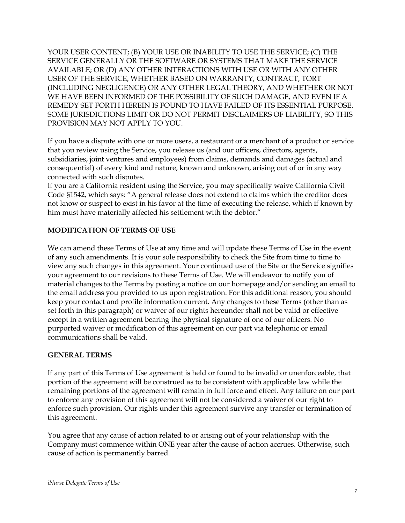YOUR USER CONTENT; (B) YOUR USE OR INABILITY TO USE THE SERVICE; (C) THE SERVICE GENERALLY OR THE SOFTWARE OR SYSTEMS THAT MAKE THE SERVICE AVAILABLE; OR (D) ANY OTHER INTERACTIONS WITH USE OR WITH ANY OTHER USER OF THE SERVICE, WHETHER BASED ON WARRANTY, CONTRACT, TORT (INCLUDING NEGLIGENCE) OR ANY OTHER LEGAL THEORY, AND WHETHER OR NOT WE HAVE BEEN INFORMED OF THE POSSIBILITY OF SUCH DAMAGE, AND EVEN IF A REMEDY SET FORTH HEREIN IS FOUND TO HAVE FAILED OF ITS ESSENTIAL PURPOSE. SOME JURISDICTIONS LIMIT OR DO NOT PERMIT DISCLAIMERS OF LIABILITY, SO THIS PROVISION MAY NOT APPLY TO YOU.

If you have a dispute with one or more users, a restaurant or a merchant of a product or service that you review using the Service, you release us (and our officers, directors, agents, subsidiaries, joint ventures and employees) from claims, demands and damages (actual and consequential) of every kind and nature, known and unknown, arising out of or in any way connected with such disputes.

If you are a California resident using the Service, you may specifically waive California Civil Code §1542, which says: "A general release does not extend to claims which the creditor does not know or suspect to exist in his favor at the time of executing the release, which if known by him must have materially affected his settlement with the debtor."

## **MODIFICATION OF TERMS OF USE**

We can amend these Terms of Use at any time and will update these Terms of Use in the event of any such amendments. It is your sole responsibility to check the Site from time to time to view any such changes in this agreement. Your continued use of the Site or the Service signifies your agreement to our revisions to these Terms of Use. We will endeavor to notify you of material changes to the Terms by posting a notice on our homepage and/or sending an email to the email address you provided to us upon registration. For this additional reason, you should keep your contact and profile information current. Any changes to these Terms (other than as set forth in this paragraph) or waiver of our rights hereunder shall not be valid or effective except in a written agreement bearing the physical signature of one of our officers. No purported waiver or modification of this agreement on our part via telephonic or email communications shall be valid.

#### **GENERAL TERMS**

If any part of this Terms of Use agreement is held or found to be invalid or unenforceable, that portion of the agreement will be construed as to be consistent with applicable law while the remaining portions of the agreement will remain in full force and effect. Any failure on our part to enforce any provision of this agreement will not be considered a waiver of our right to enforce such provision. Our rights under this agreement survive any transfer or termination of this agreement.

You agree that any cause of action related to or arising out of your relationship with the Company must commence within ONE year after the cause of action accrues. Otherwise, such cause of action is permanently barred.